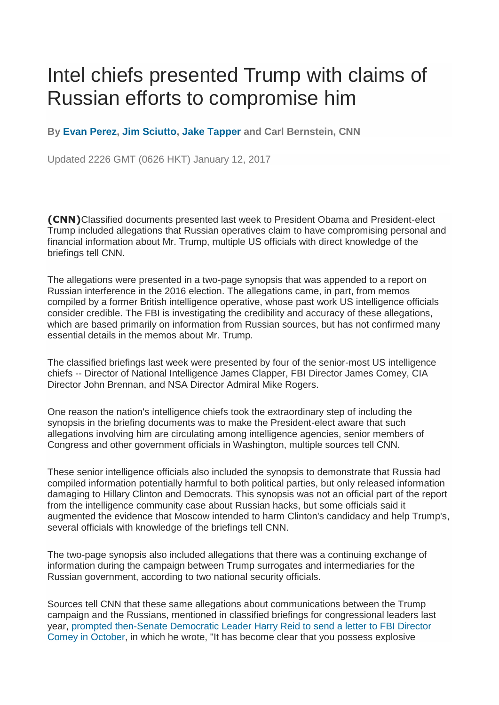## Intel chiefs presented Trump with claims of Russian efforts to compromise him

**By [Evan Perez,](http://edition.cnn.com/profiles/evan-perez-profile) [Jim Sciutto,](http://edition.cnn.com/profiles/jim-sciutto) [Jake Tapper](http://edition.cnn.com/profiles/jake-tapper-profile) and Carl Bernstein, CNN**

Updated 2226 GMT (0626 HKT) January 12, 2017

**(CNN)**Classified documents presented last week to President Obama and President-elect Trump included allegations that Russian operatives claim to have compromising personal and financial information about Mr. Trump, multiple US officials with direct knowledge of the briefings tell CNN.

The allegations were presented in a two-page synopsis that was appended to a report on Russian interference in the 2016 election. The allegations came, in part, from memos compiled by a former British intelligence operative, whose past work US intelligence officials consider credible. The FBI is investigating the credibility and accuracy of these allegations, which are based primarily on information from Russian sources, but has not confirmed many essential details in the memos about Mr. Trump.

The classified briefings last week were presented by four of the senior-most US intelligence chiefs -- Director of National Intelligence James Clapper, FBI Director James Comey, CIA Director John Brennan, and NSA Director Admiral Mike Rogers.

One reason the nation's intelligence chiefs took the extraordinary step of including the synopsis in the briefing documents was to make the President-elect aware that such allegations involving him are circulating among intelligence agencies, senior members of Congress and other government officials in Washington, multiple sources tell CNN.

These senior intelligence officials also included the synopsis to demonstrate that Russia had compiled information potentially harmful to both political parties, but only released information damaging to Hillary Clinton and Democrats. This synopsis was not an official part of the report from the intelligence community case about Russian hacks, but some officials said it augmented the evidence that Moscow intended to harm Clinton's candidacy and help Trump's, several officials with knowledge of the briefings tell CNN.

The two-page synopsis also included allegations that there was a continuing exchange of information during the campaign between Trump surrogates and intermediaries for the Russian government, according to two national security officials.

Sources tell CNN that these same allegations about communications between the Trump campaign and the Russians, mentioned in classified briefings for congressional leaders last year, [prompted then-Senate Democratic Leader Harry Reid to send a letter to FBI Director](http://www.cnn.com/2016/10/30/politics/harry-reid-letter-hatch-act/index.html)  [Comey in October,](http://www.cnn.com/2016/10/30/politics/harry-reid-letter-hatch-act/index.html) in which he wrote, "It has become clear that you possess explosive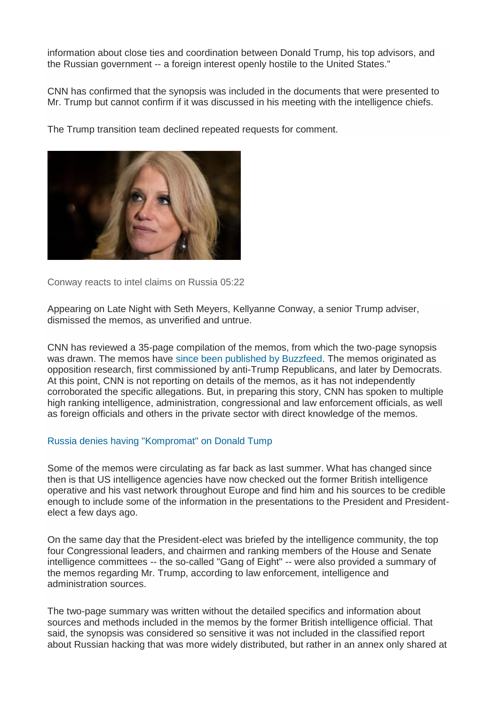information about close ties and coordination between Donald Trump, his top advisors, and the Russian government -- a foreign interest openly hostile to the United States."

CNN has confirmed that the synopsis was included in the documents that were presented to Mr. Trump but cannot confirm if it was discussed in his meeting with the intelligence chiefs.

The Trump transition team declined repeated requests for comment.



Conway reacts to intel claims on Russia 05:22

Appearing on Late Night with Seth Meyers, Kellyanne Conway, a senior Trump adviser, dismissed the memos, as unverified and untrue.

CNN has reviewed a 35-page compilation of the memos, from which the two-page synopsis was drawn. The memos have [since been published by Buzzfeed.](http://money.cnn.com/2017/01/10/media/buzzfeed-trump-report/) The memos originated as opposition research, first commissioned by anti-Trump Republicans, and later by Democrats. At this point, CNN is not reporting on details of the memos, as it has not independently corroborated the specific allegations. But, in preparing this story, CNN has spoken to multiple high ranking intelligence, administration, congressional and law enforcement officials, as well as foreign officials and others in the private sector with direct knowledge of the memos.

## [Russia denies having "Kompromat" on Donald Tump](http://www.cnn.com/2017/01/11/politics/russia-rejects-trump-allegations/index.html)

Some of the memos were circulating as far back as last summer. What has changed since then is that US intelligence agencies have now checked out the former British intelligence operative and his vast network throughout Europe and find him and his sources to be credible enough to include some of the information in the presentations to the President and Presidentelect a few days ago.

On the same day that the President-elect was briefed by the intelligence community, the top four Congressional leaders, and chairmen and ranking members of the House and Senate intelligence committees -- the so-called "Gang of Eight" -- were also provided a summary of the memos regarding Mr. Trump, according to law enforcement, intelligence and administration sources.

The two-page summary was written without the detailed specifics and information about sources and methods included in the memos by the former British intelligence official. That said, the synopsis was considered so sensitive it was not included in the classified report about Russian hacking that was more widely distributed, but rather in an annex only shared at